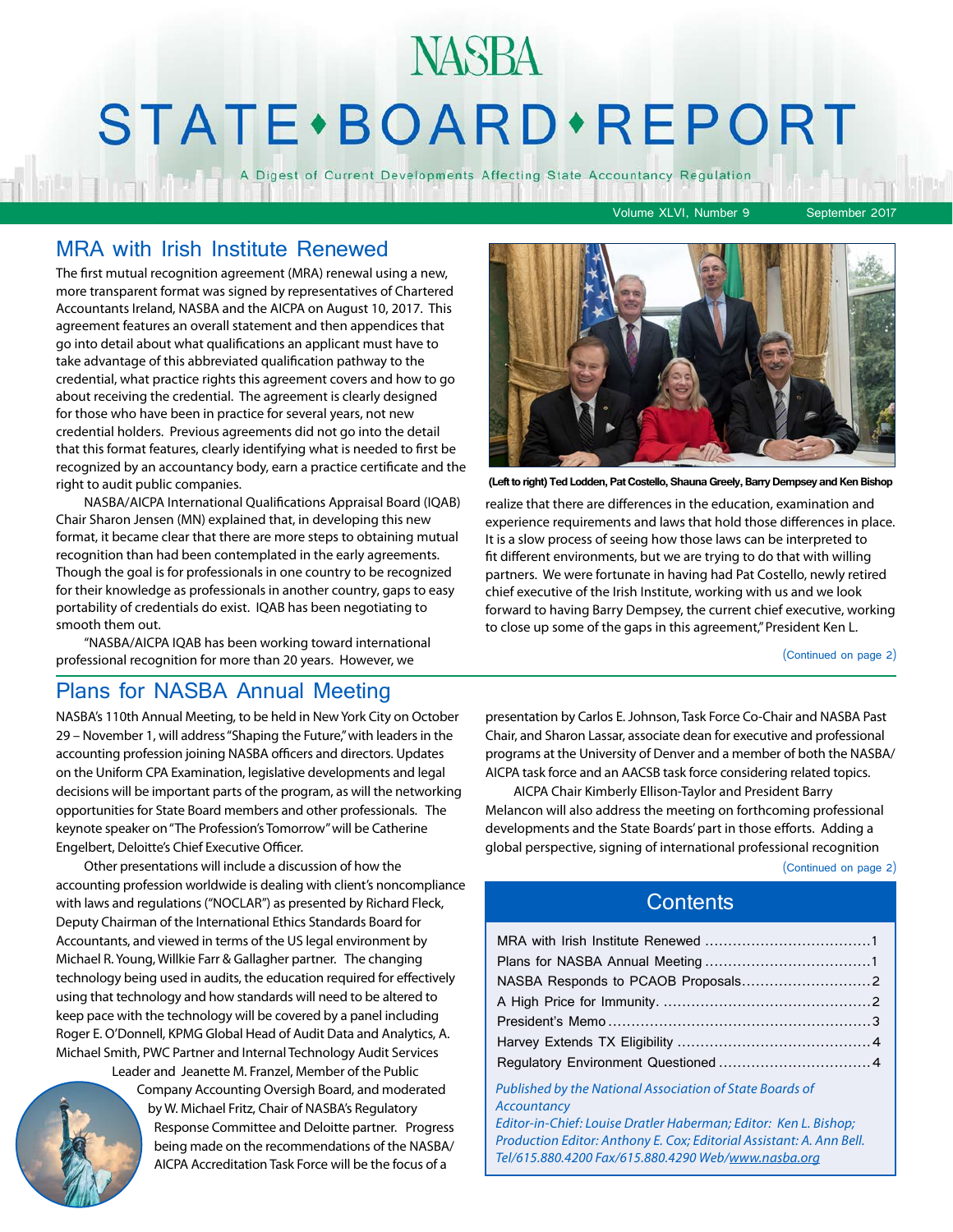## **NASBA** STATE · BOARD · REPORT

A Digest of Current Developments Affecting State Accountancy Regulation

Volume XLVI, Number 9 September 2017

### MRA with Irish Institute Renewed

The first mutual recognition agreement (MRA) renewal using a new, more transparent format was signed by representatives of Chartered Accountants Ireland, NASBA and the AICPA on August 10, 2017. This agreement features an overall statement and then appendices that go into detail about what qualifications an applicant must have to take advantage of this abbreviated qualification pathway to the credential, what practice rights this agreement covers and how to go about receiving the credential. The agreement is clearly designed for those who have been in practice for several years, not new credential holders. Previous agreements did not go into the detail that this format features, clearly identifying what is needed to first be recognized by an accountancy body, earn a practice certificate and the right to audit public companies.

NASBA/AICPA International Qualifications Appraisal Board (IQAB) Chair Sharon Jensen (MN) explained that, in developing this new format, it became clear that there are more steps to obtaining mutual recognition than had been contemplated in the early agreements. Though the goal is for professionals in one country to be recognized for their knowledge as professionals in another country, gaps to easy portability of credentials do exist. IQAB has been negotiating to smooth them out.

"NASBA/AICPA IQAB has been working toward international professional recognition for more than 20 years. However, we

## Plans for NASBA Annual Meeting

NASBA's 110th Annual Meeting, to be held in New York City on October 29 – November 1, will address "Shaping the Future," with leaders in the accounting profession joining NASBA officers and directors. Updates on the Uniform CPA Examination, legislative developments and legal decisions will be important parts of the program, as will the networking opportunities for State Board members and other professionals. The keynote speaker on "The Profession's Tomorrow" will be Catherine Engelbert, Deloitte's Chief Executive Officer.

Other presentations will include a discussion of how the accounting profession worldwide is dealing with client's noncompliance with laws and regulations ("NOCLAR") as presented by Richard Fleck, Deputy Chairman of the International Ethics Standards Board for Accountants, and viewed in terms of the US legal environment by Michael R. Young, Willkie Farr & Gallagher partner. The changing technology being used in audits, the education required for effectively using that technology and how standards will need to be altered to keep pace with the technology will be covered by a panel including Roger E. O'Donnell, KPMG Global Head of Audit Data and Analytics, A. Michael Smith, PWC Partner and Internal Technology Audit Services

Leader and Jeanette M. Franzel, Member of the Public Company Accounting Oversigh Board, and moderated by W. Michael Fritz, Chair of NASBA's Regulatory Response Committee and Deloitte partner. Progress being made on the recommendations of the NASBA/ AICPA Accreditation Task Force will be the focus of a



**(Left to right) Ted Lodden, Pat Costello, Shauna Greely, Barry Dempsey and Ken Bishop**

realize that there are differences in the education, examination and experience requirements and laws that hold those differences in place. It is a slow process of seeing how those laws can be interpreted to fit different environments, but we are trying to do that with willing partners. We were fortunate in having had Pat Costello, newly retired chief executive of the Irish Institute, working with us and we look forward to having Barry Dempsey, the current chief executive, working to close up some of the gaps in this agreement," President Ken L.

(Continued on page 2)

presentation by Carlos E. Johnson, Task Force Co-Chair and NASBA Past Chair, and Sharon Lassar, associate dean for executive and professional programs at the University of Denver and a member of both the NASBA/ AICPA task force and an AACSB task force considering related topics.

AICPA Chair Kimberly Ellison-Taylor and President Barry Melancon will also address the meeting on forthcoming professional developments and the State Boards' part in those efforts. Adding a global perspective, signing of international professional recognition

(Continued on page 2)

#### **Contents**

*Published by the National Association of State Boards of Accountancy*

*Editor-in-Chief: Louise Dratler Haberman; Editor: Ken L. Bishop; Production Editor: Anthony E. Cox; Editorial Assistant: A. Ann Bell. Tel/615.880.4200 Fax/615.880.4290 Web/[www.nasba.org](http://www.nasba.org)*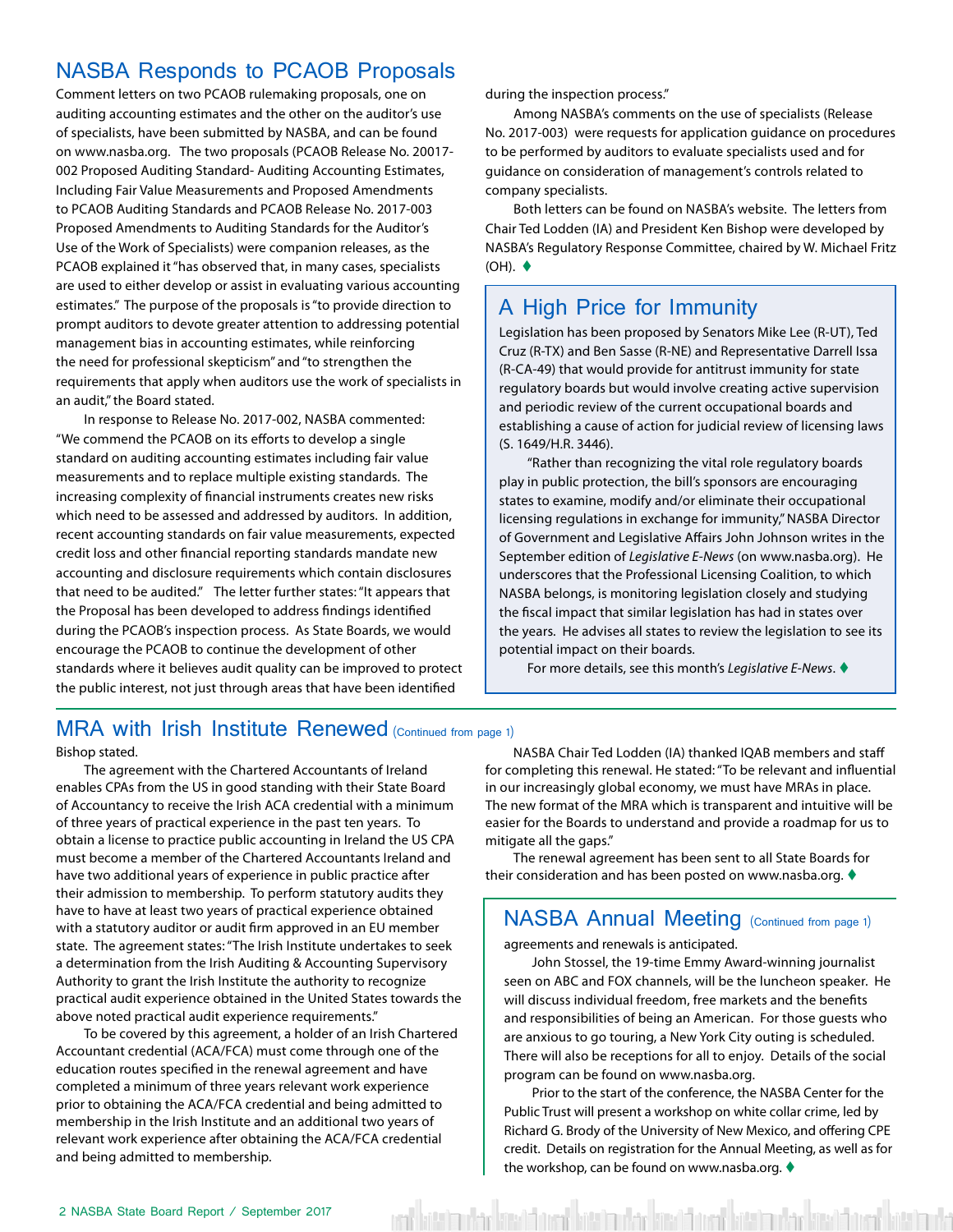## <span id="page-1-0"></span>NASBA Responds to PCAOB Proposals

Comment letters on two PCAOB rulemaking proposals, one on auditing accounting estimates and the other on the auditor's use of specialists, have been submitted by NASBA, and can be found on www.nasba.org. The two proposals (PCAOB Release No. 20017- 002 Proposed Auditing Standard- Auditing Accounting Estimates, Including Fair Value Measurements and Proposed Amendments to PCAOB Auditing Standards and PCAOB Release No. 2017-003 Proposed Amendments to Auditing Standards for the Auditor's Use of the Work of Specialists) were companion releases, as the PCAOB explained it "has observed that, in many cases, specialists are used to either develop or assist in evaluating various accounting estimates." The purpose of the proposals is "to provide direction to prompt auditors to devote greater attention to addressing potential management bias in accounting estimates, while reinforcing the need for professional skepticism" and "to strengthen the requirements that apply when auditors use the work of specialists in an audit," the Board stated.

In response to Release No. 2017-002, NASBA commented: "We commend the PCAOB on its efforts to develop a single standard on auditing accounting estimates including fair value measurements and to replace multiple existing standards. The increasing complexity of financial instruments creates new risks which need to be assessed and addressed by auditors. In addition, recent accounting standards on fair value measurements, expected credit loss and other financial reporting standards mandate new accounting and disclosure requirements which contain disclosures that need to be audited." The letter further states: "It appears that the Proposal has been developed to address findings identified during the PCAOB's inspection process. As State Boards, we would encourage the PCAOB to continue the development of other standards where it believes audit quality can be improved to protect the public interest, not just through areas that have been identified

#### MRA with Irish Institute Renewed (Continued from page 1)

Bishop stated.

The agreement with the Chartered Accountants of Ireland enables CPAs from the US in good standing with their State Board of Accountancy to receive the Irish ACA credential with a minimum of three years of practical experience in the past ten years. To obtain a license to practice public accounting in Ireland the US CPA must become a member of the Chartered Accountants Ireland and have two additional years of experience in public practice after their admission to membership. To perform statutory audits they have to have at least two years of practical experience obtained with a statutory auditor or audit firm approved in an EU member state. The agreement states: "The Irish Institute undertakes to seek a determination from the Irish Auditing & Accounting Supervisory Authority to grant the Irish Institute the authority to recognize practical audit experience obtained in the United States towards the above noted practical audit experience requirements."

To be covered by this agreement, a holder of an Irish Chartered Accountant credential (ACA/FCA) must come through one of the education routes specified in the renewal agreement and have completed a minimum of three years relevant work experience prior to obtaining the ACA/FCA credential and being admitted to membership in the Irish Institute and an additional two years of relevant work experience after obtaining the ACA/FCA credential and being admitted to membership.

during the inspection process."

Among NASBA's comments on the use of specialists (Release No. 2017-003) were requests for application guidance on procedures to be performed by auditors to evaluate specialists used and for guidance on consideration of management's controls related to company specialists.

Both letters can be found on NASBA's website. The letters from Chair Ted Lodden (IA) and President Ken Bishop were developed by NASBA's Regulatory Response Committee, chaired by W. Michael Fritz  $(OH)$ .  $\blacklozenge$ 

## A High Price for Immunity

Legislation has been proposed by Senators Mike Lee (R-UT), Ted Cruz (R-TX) and Ben Sasse (R-NE) and Representative Darrell Issa (R-CA-49) that would provide for antitrust immunity for state regulatory boards but would involve creating active supervision and periodic review of the current occupational boards and establishing a cause of action for judicial review of licensing laws (S. 1649/H.R. 3446).

"Rather than recognizing the vital role regulatory boards play in public protection, the bill's sponsors are encouraging states to examine, modify and/or eliminate their occupational licensing regulations in exchange for immunity," NASBA Director of Government and Legislative Affairs John Johnson writes in the September edition of *Legislative E-News* (on www.nasba.org). He underscores that the Professional Licensing Coalition, to which NASBA belongs, is monitoring legislation closely and studying the fiscal impact that similar legislation has had in states over the years. He advises all states to review the legislation to see its potential impact on their boards.

For more details, see this month's *Legislative E-News*. t

NASBA Chair Ted Lodden (IA) thanked IQAB members and staff for completing this renewal. He stated: "To be relevant and influential in our increasingly global economy, we must have MRAs in place. The new format of the MRA which is transparent and intuitive will be easier for the Boards to understand and provide a roadmap for us to mitigate all the gaps."

The renewal agreement has been sent to all State Boards for their consideration and has been posted on www.nasba.org.  $\blacklozenge$ 

## NASBA Annual Meeting (Continued from page 1)

agreements and renewals is anticipated.

John Stossel, the 19-time Emmy Award-winning journalist seen on ABC and FOX channels, will be the luncheon speaker. He will discuss individual freedom, free markets and the benefits and responsibilities of being an American. For those guests who are anxious to go touring, a New York City outing is scheduled. There will also be receptions for all to enjoy. Details of the social program can be found on www.nasba.org.

Prior to the start of the conference, the NASBA Center for the Public Trust will present a workshop on white collar crime, led by Richard G. Brody of the University of New Mexico, and offering CPE credit. Details on registration for the Annual Meeting, as well as for the workshop, can be found on www.nasba.org.  $\blacklozenge$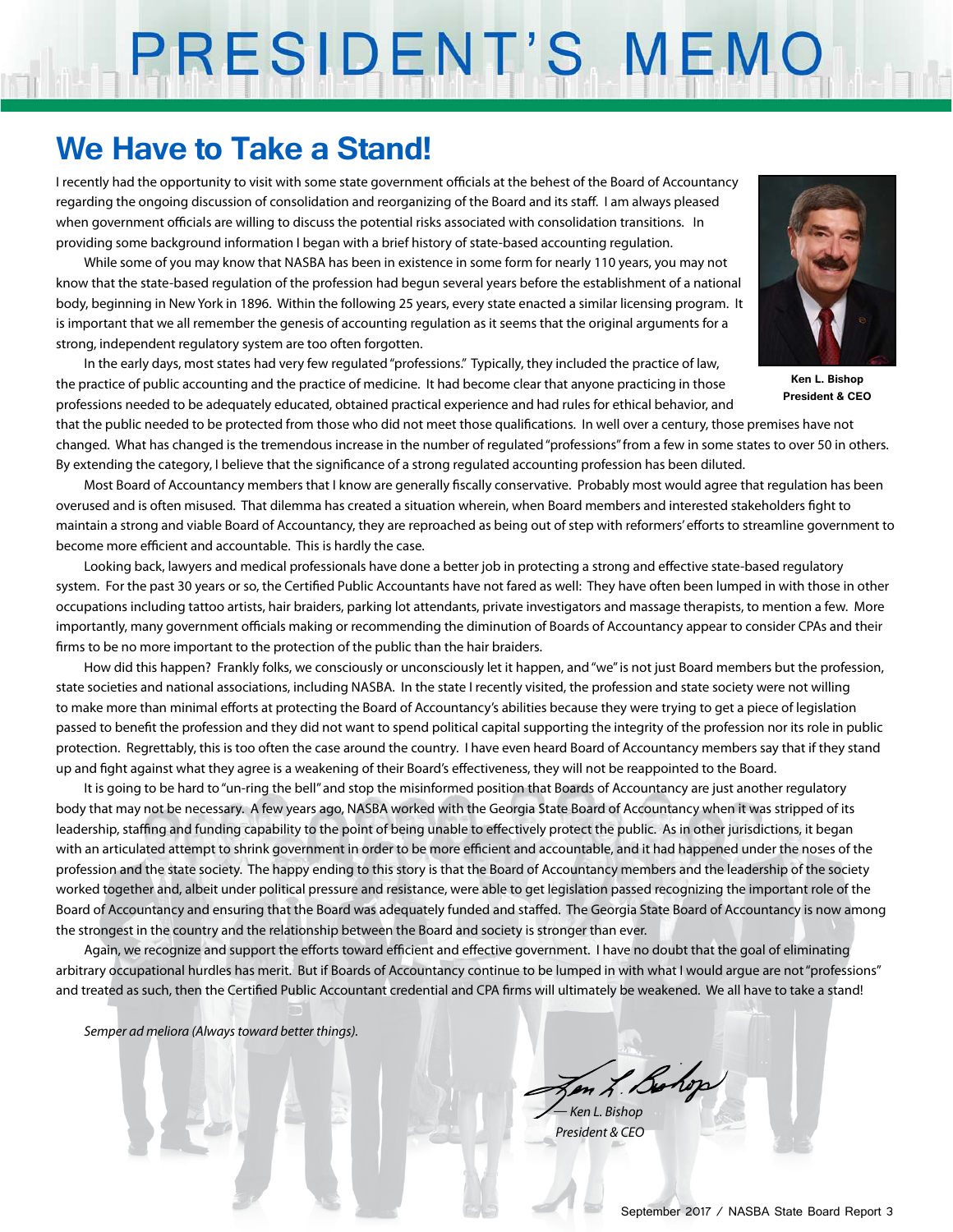# PRESIDENT'S MEMO

## **We Have to Take a Stand!**

I recently had the opportunity to visit with some state government officials at the behest of the Board of Accountancy regarding the ongoing discussion of consolidation and reorganizing of the Board and its staff. I am always pleased when government officials are willing to discuss the potential risks associated with consolidation transitions. In providing some background information I began with a brief history of state-based accounting regulation.

While some of you may know that NASBA has been in existence in some form for nearly 110 years, you may not know that the state-based regulation of the profession had begun several years before the establishment of a national body, beginning in New York in 1896. Within the following 25 years, every state enacted a similar licensing program. It is important that we all remember the genesis of accounting regulation as it seems that the original arguments for a strong, independent regulatory system are too often forgotten.

In the early days, most states had very few regulated "professions." Typically, they included the practice of law, the practice of public accounting and the practice of medicine. It had become clear that anyone practicing in those professions needed to be adequately educated, obtained practical experience and had rules for ethical behavior, and



**Ken L. Bishop President & CEO**

that the public needed to be protected from those who did not meet those qualifications. In well over a century, those premises have not changed. What has changed is the tremendous increase in the number of regulated "professions" from a few in some states to over 50 in others. By extending the category, I believe that the significance of a strong regulated accounting profession has been diluted.

Most Board of Accountancy members that I know are generally fiscally conservative. Probably most would agree that regulation has been overused and is often misused. That dilemma has created a situation wherein, when Board members and interested stakeholders fight to maintain a strong and viable Board of Accountancy, they are reproached as being out of step with reformers' efforts to streamline government to become more efficient and accountable. This is hardly the case.

Looking back, lawyers and medical professionals have done a better job in protecting a strong and effective state-based regulatory system. For the past 30 years or so, the Certified Public Accountants have not fared as well: They have often been lumped in with those in other occupations including tattoo artists, hair braiders, parking lot attendants, private investigators and massage therapists, to mention a few. More importantly, many government officials making or recommending the diminution of Boards of Accountancy appear to consider CPAs and their firms to be no more important to the protection of the public than the hair braiders.

How did this happen? Frankly folks, we consciously or unconsciously let it happen, and "we" is not just Board members but the profession, state societies and national associations, including NASBA. In the state I recently visited, the profession and state society were not willing to make more than minimal efforts at protecting the Board of Accountancy's abilities because they were trying to get a piece of legislation passed to benefit the profession and they did not want to spend political capital supporting the integrity of the profession nor its role in public protection. Regrettably, this is too often the case around the country. I have even heard Board of Accountancy members say that if they stand up and fight against what they agree is a weakening of their Board's effectiveness, they will not be reappointed to the Board.

It is going to be hard to "un-ring the bell" and stop the misinformed position that Boards of Accountancy are just another regulatory body that may not be necessary. A few years ago, NASBA worked with the Georgia State Board of Accountancy when it was stripped of its leadership, staffing and funding capability to the point of being unable to effectively protect the public. As in other jurisdictions, it began with an articulated attempt to shrink government in order to be more efficient and accountable, and it had happened under the noses of the profession and the state society. The happy ending to this story is that the Board of Accountancy members and the leadership of the society worked together and, albeit under political pressure and resistance, were able to get legislation passed recognizing the important role of the Board of Accountancy and ensuring that the Board was adequately funded and staffed. The Georgia State Board of Accountancy is now among the strongest in the country and the relationship between the Board and society is stronger than ever.

Again, we recognize and support the efforts toward efficient and effective government. I have no doubt that the goal of eliminating arbitrary occupational hurdles has merit. But if Boards of Accountancy continue to be lumped in with what I would argue are not "professions" and treated as such, then the Certified Public Accountant credential and CPA firms will ultimately be weakened. We all have to take a stand!

*Semper ad meliora (Always toward better things).*

Jen L. Bohop *— Ken L. Bishop*

 *President & CEO*